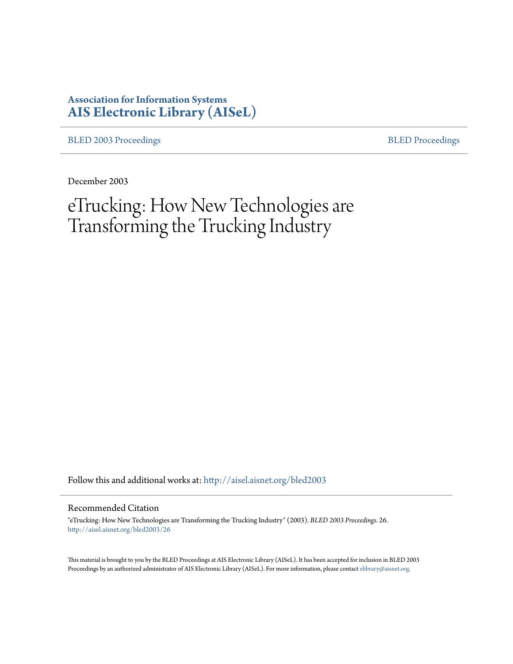# **Association for Information Systems [AIS Electronic Library \(AISeL\)](http://aisel.aisnet.org?utm_source=aisel.aisnet.org%2Fbled2003%2F26&utm_medium=PDF&utm_campaign=PDFCoverPages)**

[BLED 2003 Proceedings](http://aisel.aisnet.org/bled2003?utm_source=aisel.aisnet.org%2Fbled2003%2F26&utm_medium=PDF&utm_campaign=PDFCoverPages) **[BLED Proceedings](http://aisel.aisnet.org/bled?utm_source=aisel.aisnet.org%2Fbled2003%2F26&utm_medium=PDF&utm_campaign=PDFCoverPages)** 

December 2003

eTrucking: How New Technologies are Transforming the Trucking Industry

Follow this and additional works at: [http://aisel.aisnet.org/bled2003](http://aisel.aisnet.org/bled2003?utm_source=aisel.aisnet.org%2Fbled2003%2F26&utm_medium=PDF&utm_campaign=PDFCoverPages)

#### Recommended Citation

"eTrucking: How New Technologies are Transforming the Trucking Industry" (2003). *BLED 2003 Proceedings*. 26. [http://aisel.aisnet.org/bled2003/26](http://aisel.aisnet.org/bled2003/26?utm_source=aisel.aisnet.org%2Fbled2003%2F26&utm_medium=PDF&utm_campaign=PDFCoverPages)

This material is brought to you by the BLED Proceedings at AIS Electronic Library (AISeL). It has been accepted for inclusion in BLED 2003 Proceedings by an authorized administrator of AIS Electronic Library (AISeL). For more information, please contact [elibrary@aisnet.org](mailto:elibrary@aisnet.org%3E).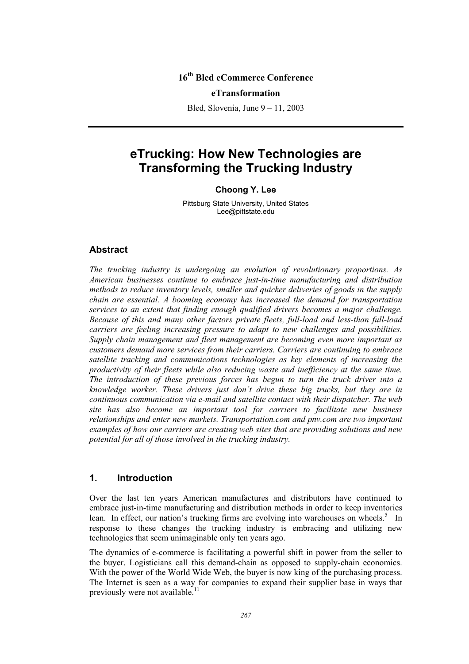# **16th Bled eCommerce Conference**

#### **eTransformation**

Bled, Slovenia, June 9 – 11, 2003

# **eTrucking: How New Technologies are Transforming the Trucking Industry**

#### **Choong Y. Lee**

Pittsburg State University, United States Lee@pittstate.edu

#### **Abstract**

*The trucking industry is undergoing an evolution of revolutionary proportions. As American businesses continue to embrace just-in-time manufacturing and distribution methods to reduce inventory levels, smaller and quicker deliveries of goods in the supply chain are essential. A booming economy has increased the demand for transportation services to an extent that finding enough qualified drivers becomes a major challenge. Because of this and many other factors private fleets, full-load and less-than full-load carriers are feeling increasing pressure to adapt to new challenges and possibilities. Supply chain management and fleet management are becoming even more important as customers demand more services from their carriers. Carriers are continuing to embrace satellite tracking and communications technologies as key elements of increasing the productivity of their fleets while also reducing waste and inefficiency at the same time. The introduction of these previous forces has begun to turn the truck driver into a knowledge worker. These drivers just don't drive these big trucks, but they are in continuous communication via e-mail and satellite contact with their dispatcher. The web site has also become an important tool for carriers to facilitate new business relationships and enter new markets. Transportation.com and pnv.com are two important examples of how our carriers are creating web sites that are providing solutions and new potential for all of those involved in the trucking industry.* 

#### **1. Introduction**

Over the last ten years American manufactures and distributors have continued to embrace just-in-time manufacturing and distribution methods in order to keep inventories lean. In effect, our nation's trucking firms are evolving into warehouses on wheels.<sup>5</sup> In response to these changes the trucking industry is embracing and utilizing new technologies that seem unimaginable only ten years ago.

The dynamics of e-commerce is facilitating a powerful shift in power from the seller to the buyer. Logisticians call this demand-chain as opposed to supply-chain economics. With the power of the World Wide Web, the buyer is now king of the purchasing process. The Internet is seen as a way for companies to expand their supplier base in ways that previously were not available.<sup>11</sup>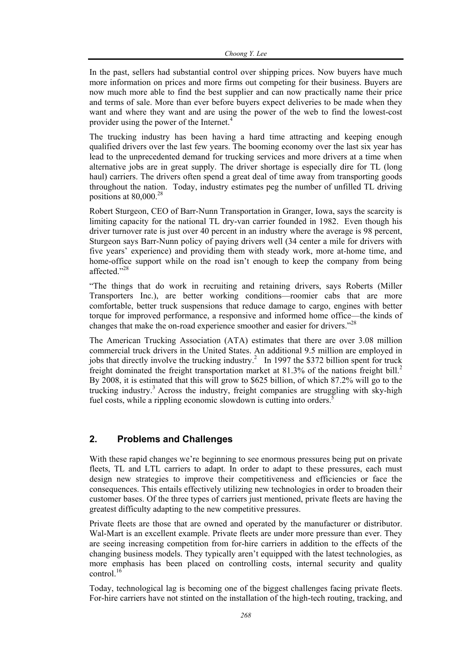In the past, sellers had substantial control over shipping prices. Now buyers have much more information on prices and more firms out competing for their business. Buyers are now much more able to find the best supplier and can now practically name their price and terms of sale. More than ever before buyers expect deliveries to be made when they want and where they want and are using the power of the web to find the lowest-cost provider using the power of the Internet. $4$ 

The trucking industry has been having a hard time attracting and keeping enough qualified drivers over the last few years. The booming economy over the last six year has lead to the unprecedented demand for trucking services and more drivers at a time when alternative jobs are in great supply. The driver shortage is especially dire for TL (long haul) carriers. The drivers often spend a great deal of time away from transporting goods throughout the nation. Today, industry estimates peg the number of unfilled TL driving positions at  $80,000^{28}$ 

Robert Sturgeon, CEO of Barr-Nunn Transportation in Granger, Iowa, says the scarcity is limiting capacity for the national TL dry-van carrier founded in 1982. Even though his driver turnover rate is just over 40 percent in an industry where the average is 98 percent, Sturgeon says Barr-Nunn policy of paying drivers well (34 center a mile for drivers with five years' experience) and providing them with steady work, more at-home time, and home-office support while on the road isn't enough to keep the company from being affected."28

"The things that do work in recruiting and retaining drivers, says Roberts (Miller Transporters Inc.), are better working conditions—roomier cabs that are more comfortable, better truck suspensions that reduce damage to cargo, engines with better torque for improved performance, a responsive and informed home office—the kinds of changes that make the on-road experience smoother and easier for drivers.<sup>228</sup>

The American Trucking Association (ATA) estimates that there are over 3.08 million commercial truck drivers in the United States. An additional 9.5 million are employed in jobs that directly involve the trucking industry.<sup>2</sup> In 1997 the \$372 billion spent for truck freight dominated the freight transportation market at 81.3% of the nations freight bill.<sup>2</sup> By 2008, it is estimated that this will grow to \$625 billion, of which 87.2% will go to the trucking industry.<sup>3</sup> Across the industry, freight companies are struggling with sky-high fuel costs, while a rippling economic slowdown is cutting into orders.<sup>5</sup>

# **2. Problems and Challenges**

With these rapid changes we're beginning to see enormous pressures being put on private fleets, TL and LTL carriers to adapt. In order to adapt to these pressures, each must design new strategies to improve their competitiveness and efficiencies or face the consequences. This entails effectively utilizing new technologies in order to broaden their customer bases. Of the three types of carriers just mentioned, private fleets are having the greatest difficulty adapting to the new competitive pressures.

Private fleets are those that are owned and operated by the manufacturer or distributor. Wal-Mart is an excellent example. Private fleets are under more pressure than ever. They are seeing increasing competition from for-hire carriers in addition to the effects of the changing business models. They typically aren't equipped with the latest technologies, as more emphasis has been placed on controlling costs, internal security and quality control. $16$ 

Today, technological lag is becoming one of the biggest challenges facing private fleets. For-hire carriers have not stinted on the installation of the high-tech routing, tracking, and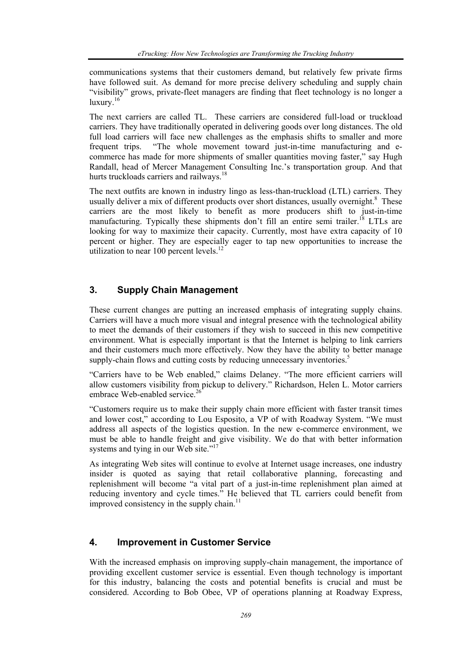communications systems that their customers demand, but relatively few private firms have followed suit. As demand for more precise delivery scheduling and supply chain "visibility" grows, private-fleet managers are finding that fleet technology is no longer a luxury.<sup>16</sup>

The next carriers are called TL. These carriers are considered full-load or truckload carriers. They have traditionally operated in delivering goods over long distances. The old full load carriers will face new challenges as the emphasis shifts to smaller and more frequent trips. "The whole movement toward just-in-time manufacturing and ecommerce has made for more shipments of smaller quantities moving faster," say Hugh Randall, head of Mercer Management Consulting Inc.'s transportation group. And that hurts truckloads carriers and railways.<sup>18</sup>

The next outfits are known in industry lingo as less-than-truckload (LTL) carriers. They usually deliver a mix of different products over short distances, usually overnight.<sup>8</sup> These carriers are the most likely to benefit as more producers shift to just-in-time manufacturing. Typically these shipments don't fill an entire semi trailer.<sup>18</sup> LTLs are looking for way to maximize their capacity. Currently, most have extra capacity of 10 percent or higher. They are especially eager to tap new opportunities to increase the utilization to near  $100$  percent levels.<sup>12</sup>

### **3. Supply Chain Management**

These current changes are putting an increased emphasis of integrating supply chains. Carriers will have a much more visual and integral presence with the technological ability to meet the demands of their customers if they wish to succeed in this new competitive environment. What is especially important is that the Internet is helping to link carriers and their customers much more effectively. Now they have the ability to better manage supply-chain flows and cutting costs by reducing unnecessary inventories.<sup>5</sup>

"Carriers have to be Web enabled," claims Delaney. "The more efficient carriers will allow customers visibility from pickup to delivery." Richardson, Helen L. Motor carriers embrace Web-enabled service.<sup>26</sup>

"Customers require us to make their supply chain more efficient with faster transit times and lower cost," according to Lou Esposito, a VP of with Roadway System. "We must address all aspects of the logistics question. In the new e-commerce environment, we must be able to handle freight and give visibility. We do that with better information systems and tying in our Web site."<sup>17</sup>

As integrating Web sites will continue to evolve at Internet usage increases, one industry insider is quoted as saying that retail collaborative planning, forecasting and replenishment will become "a vital part of a just-in-time replenishment plan aimed at reducing inventory and cycle times." He believed that TL carriers could benefit from improved consistency in the supply chain.<sup>11</sup>

#### **4. Improvement in Customer Service**

With the increased emphasis on improving supply-chain management, the importance of providing excellent customer service is essential. Even though technology is important for this industry, balancing the costs and potential benefits is crucial and must be considered. According to Bob Obee, VP of operations planning at Roadway Express,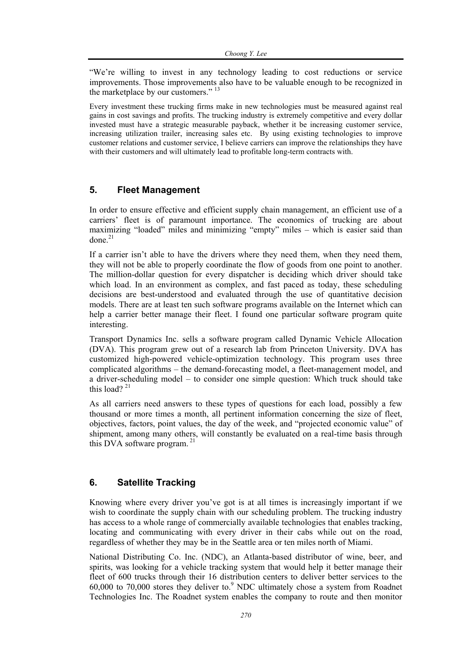"We're willing to invest in any technology leading to cost reductions or service improvements. Those improvements also have to be valuable enough to be recognized in the marketplace by our customers."<sup>13</sup>

Every investment these trucking firms make in new technologies must be measured against real gains in cost savings and profits. The trucking industry is extremely competitive and every dollar invested must have a strategic measurable payback, whether it be increasing customer service, increasing utilization trailer, increasing sales etc. By using existing technologies to improve customer relations and customer service, I believe carriers can improve the relationships they have with their customers and will ultimately lead to profitable long-term contracts with.

# **5. Fleet Management**

In order to ensure effective and efficient supply chain management, an efficient use of a carriers' fleet is of paramount importance. The economics of trucking are about maximizing "loaded" miles and minimizing "empty" miles – which is easier said than done $^{21}$ 

If a carrier isn't able to have the drivers where they need them, when they need them, they will not be able to properly coordinate the flow of goods from one point to another. The million-dollar question for every dispatcher is deciding which driver should take which load. In an environment as complex, and fast paced as today, these scheduling decisions are best-understood and evaluated through the use of quantitative decision models. There are at least ten such software programs available on the Internet which can help a carrier better manage their fleet. I found one particular software program quite interesting.

Transport Dynamics Inc. sells a software program called Dynamic Vehicle Allocation (DVA). This program grew out of a research lab from Princeton University. DVA has customized high-powered vehicle-optimization technology. This program uses three complicated algorithms – the demand-forecasting model, a fleet-management model, and a driver-scheduling model – to consider one simple question: Which truck should take this load?  $21$ 

As all carriers need answers to these types of questions for each load, possibly a few thousand or more times a month, all pertinent information concerning the size of fleet, objectives, factors, point values, the day of the week, and "projected economic value" of shipment, among many others, will constantly be evaluated on a real-time basis through this DVA software program.  $21$ 

# **6. Satellite Tracking**

Knowing where every driver you've got is at all times is increasingly important if we wish to coordinate the supply chain with our scheduling problem. The trucking industry has access to a whole range of commercially available technologies that enables tracking, locating and communicating with every driver in their cabs while out on the road, regardless of whether they may be in the Seattle area or ten miles north of Miami.

National Distributing Co. Inc. (NDC), an Atlanta-based distributor of wine, beer, and spirits, was looking for a vehicle tracking system that would help it better manage their fleet of 600 trucks through their 16 distribution centers to deliver better services to the  $60,000$  to  $70,000$  stores they deliver to. $9$  NDC ultimately chose a system from Roadnet Technologies Inc. The Roadnet system enables the company to route and then monitor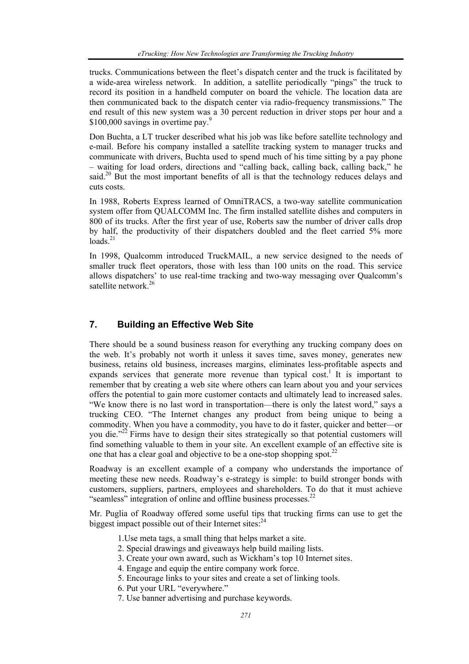trucks. Communications between the fleet's dispatch center and the truck is facilitated by a wide-area wireless network. In addition, a satellite periodically "pings" the truck to record its position in a handheld computer on board the vehicle. The location data are then communicated back to the dispatch center via radio-frequency transmissions." The end result of this new system was a 30 percent reduction in driver stops per hour and a \$100,000 savings in overtime pay.<sup>9</sup>

Don Buchta, a LT trucker described what his job was like before satellite technology and e-mail. Before his company installed a satellite tracking system to manager trucks and communicate with drivers, Buchta used to spend much of his time sitting by a pay phone – waiting for load orders, directions and "calling back, calling back, calling back," he said.<sup>20</sup> But the most important benefits of all is that the technology reduces delays and cuts costs.

In 1988, Roberts Express learned of OmniTRACS, a two-way satellite communication system offer from QUALCOMM Inc. The firm installed satellite dishes and computers in 800 of its trucks. After the first year of use, Roberts saw the number of driver calls drop by half, the productivity of their dispatchers doubled and the fleet carried 5% more  $\log_{10}^{21}$ 

In 1998, Qualcomm introduced TruckMAIL, a new service designed to the needs of smaller truck fleet operators, those with less than 100 units on the road. This service allows dispatchers' to use real-time tracking and two-way messaging over Qualcomm's satellite network.<sup>26</sup>

# **7. Building an Effective Web Site**

There should be a sound business reason for everything any trucking company does on the web. It's probably not worth it unless it saves time, saves money, generates new business, retains old business, increases margins, eliminates less-profitable aspects and expands services that generate more revenue than typical cost.<sup>1</sup> It is important to remember that by creating a web site where others can learn about you and your services offers the potential to gain more customer contacts and ultimately lead to increased sales. "We know there is no last word in transportation—there is only the latest word," says a trucking CEO. "The Internet changes any product from being unique to being a commodity. When you have a commodity, you have to do it faster, quicker and better—or you die."22 Firms have to design their sites strategically so that potential customers will find something valuable to them in your site. An excellent example of an effective site is one that has a clear goal and objective to be a one-stop shopping spot.<sup>22</sup>

Roadway is an excellent example of a company who understands the importance of meeting these new needs. Roadway's e-strategy is simple: to build stronger bonds with customers, suppliers, partners, employees and shareholders. To do that it must achieve "seamless" integration of online and offline business processes.<sup>22</sup>

Mr. Puglia of Roadway offered some useful tips that trucking firms can use to get the biggest impact possible out of their Internet sites: $^{24}$ 

- 1.Use meta tags, a small thing that helps market a site.
- 2. Special drawings and giveaways help build mailing lists.
- 3. Create your own award, such as Wickham's top 10 Internet sites.
- 4. Engage and equip the entire company work force.
- 5. Encourage links to your sites and create a set of linking tools.
- 6. Put your URL "everywhere."
- 7. Use banner advertising and purchase keywords.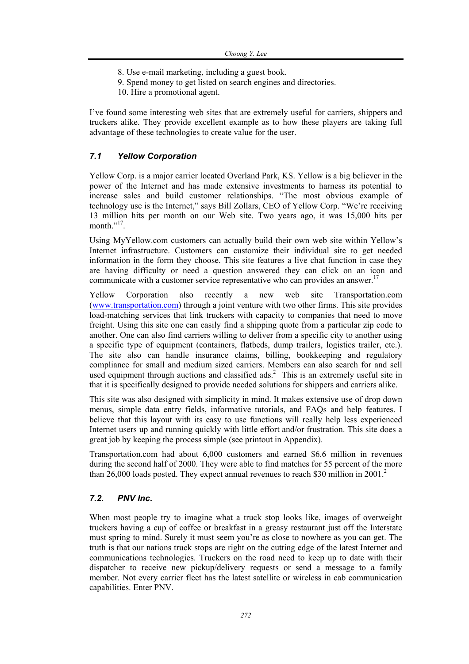- 8. Use e-mail marketing, including a guest book.
- 9. Spend money to get listed on search engines and directories.
- 10. Hire a promotional agent.

I've found some interesting web sites that are extremely useful for carriers, shippers and truckers alike. They provide excellent example as to how these players are taking full advantage of these technologies to create value for the user.

# *7.1 Yellow Corporation*

Yellow Corp. is a major carrier located Overland Park, KS. Yellow is a big believer in the power of the Internet and has made extensive investments to harness its potential to increase sales and build customer relationships. "The most obvious example of technology use is the Internet," says Bill Zollars, CEO of Yellow Corp. "We're receiving 13 million hits per month on our Web site. Two years ago, it was 15,000 hits per month." $^{17}$ .

Using MyYellow.com customers can actually build their own web site within Yellow's Internet infrastructure. Customers can customize their individual site to get needed information in the form they choose. This site features a live chat function in case they are having difficulty or need a question answered they can click on an icon and communicate with a customer service representative who can provides an answer.<sup>17</sup>

Yellow Corporation also recently a new web site Transportation.com (www.transportation.com) through a joint venture with two other firms. This site provides load-matching services that link truckers with capacity to companies that need to move freight. Using this site one can easily find a shipping quote from a particular zip code to another. One can also find carriers willing to deliver from a specific city to another using a specific type of equipment (containers, flatbeds, dump trailers, logistics trailer, etc.). The site also can handle insurance claims, billing, bookkeeping and regulatory compliance for small and medium sized carriers. Members can also search for and sell used equipment through auctions and classified  $ads<sup>2</sup>$ . This is an extremely useful site in that it is specifically designed to provide needed solutions for shippers and carriers alike.

This site was also designed with simplicity in mind. It makes extensive use of drop down menus, simple data entry fields, informative tutorials, and FAQs and help features. I believe that this layout with its easy to use functions will really help less experienced Internet users up and running quickly with little effort and/or frustration. This site does a great job by keeping the process simple (see printout in Appendix).

Transportation.com had about 6,000 customers and earned \$6.6 million in revenues during the second half of 2000. They were able to find matches for 55 percent of the more than 26,000 loads posted. They expect annual revenues to reach \$30 million in 2001.<sup>2</sup>

#### *7.2. PNV Inc.*

When most people try to imagine what a truck stop looks like, images of overweight truckers having a cup of coffee or breakfast in a greasy restaurant just off the Interstate must spring to mind. Surely it must seem you're as close to nowhere as you can get. The truth is that our nations truck stops are right on the cutting edge of the latest Internet and communications technologies. Truckers on the road need to keep up to date with their dispatcher to receive new pickup/delivery requests or send a message to a family member. Not every carrier fleet has the latest satellite or wireless in cab communication capabilities. Enter PNV.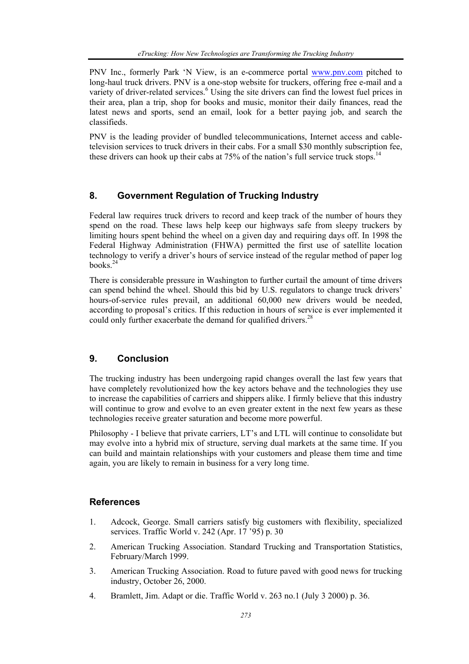PNV Inc., formerly Park 'N View, is an e-commerce portal www.pnv.com pitched to long-haul truck drivers. PNV is a one-stop website for truckers, offering free e-mail and a variety of driver-related services.<sup>6</sup> Using the site drivers can find the lowest fuel prices in their area, plan a trip, shop for books and music, monitor their daily finances, read the latest news and sports, send an email, look for a better paying job, and search the classifieds.

PNV is the leading provider of bundled telecommunications, Internet access and cabletelevision services to truck drivers in their cabs. For a small \$30 monthly subscription fee, these drivers can hook up their cabs at  $75\%$  of the nation's full service truck stops.<sup>14</sup>

#### **8. Government Regulation of Trucking Industry**

Federal law requires truck drivers to record and keep track of the number of hours they spend on the road. These laws help keep our highways safe from sleepy truckers by limiting hours spent behind the wheel on a given day and requiring days off. In 1998 the Federal Highway Administration (FHWA) permitted the first use of satellite location technology to verify a driver's hours of service instead of the regular method of paper log books $^{24}$ 

There is considerable pressure in Washington to further curtail the amount of time drivers can spend behind the wheel. Should this bid by U.S. regulators to change truck drivers' hours-of-service rules prevail, an additional 60,000 new drivers would be needed, according to proposal's critics. If this reduction in hours of service is ever implemented it could only further exacerbate the demand for qualified drivers.<sup>28</sup>

# **9. Conclusion**

The trucking industry has been undergoing rapid changes overall the last few years that have completely revolutionized how the key actors behave and the technologies they use to increase the capabilities of carriers and shippers alike. I firmly believe that this industry will continue to grow and evolve to an even greater extent in the next few years as these technologies receive greater saturation and become more powerful.

Philosophy - I believe that private carriers, LT's and LTL will continue to consolidate but may evolve into a hybrid mix of structure, serving dual markets at the same time. If you can build and maintain relationships with your customers and please them time and time again, you are likely to remain in business for a very long time.

#### **References**

- 1. Adcock, George. Small carriers satisfy big customers with flexibility, specialized services. Traffic World v. 242 (Apr. 17 '95) p. 30
- 2. American Trucking Association. Standard Trucking and Transportation Statistics, February/March 1999.
- 3. American Trucking Association. Road to future paved with good news for trucking industry, October 26, 2000.
- 4. Bramlett, Jim. Adapt or die. Traffic World v. 263 no.1 (July 3 2000) p. 36.